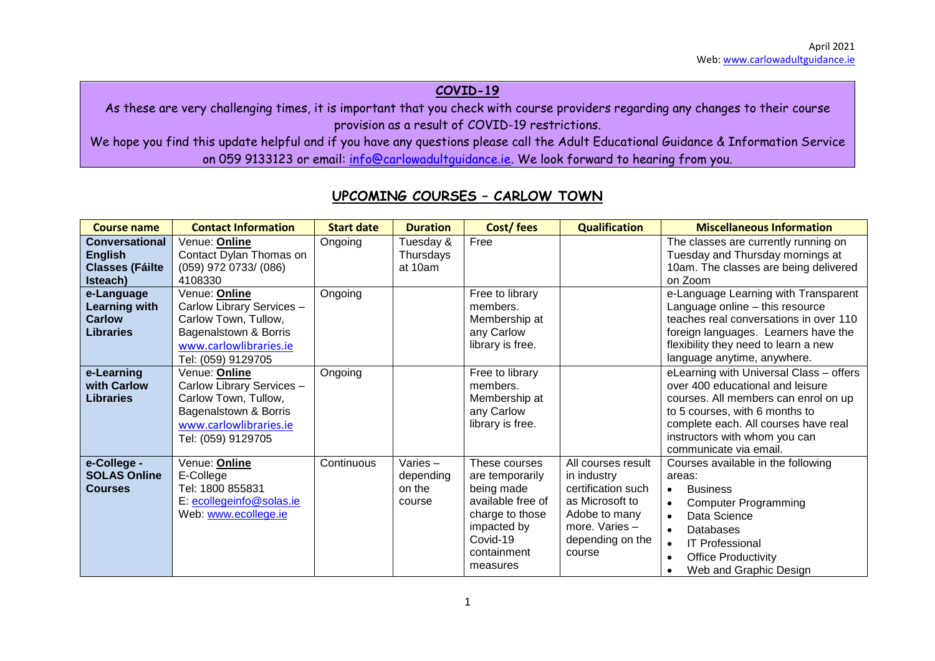## **COVID-19**

As these are very challenging times, it is important that you check with course providers regarding any changes to their course provision as a result of COVID-19 restrictions.

We hope you find this update helpful and if you have any questions please call the Adult Educational Guidance & Information Service on 059 9133123 or email: [info@carlowadultguidance.ie.](mailto:info@carlowadultguidance.ie) We look forward to hearing from you.

| <b>Course name</b>                                                            | <b>Contact Information</b>                                                                                                                  | <b>Start date</b> | <b>Duration</b>                          | Cost/fees                                                                                                                                    | <b>Qualification</b>                                                                                                                        | <b>Miscellaneous Information</b>                                                                                                                                                                                                                                               |
|-------------------------------------------------------------------------------|---------------------------------------------------------------------------------------------------------------------------------------------|-------------------|------------------------------------------|----------------------------------------------------------------------------------------------------------------------------------------------|---------------------------------------------------------------------------------------------------------------------------------------------|--------------------------------------------------------------------------------------------------------------------------------------------------------------------------------------------------------------------------------------------------------------------------------|
| <b>Conversational</b><br><b>English</b><br><b>Classes (Fáilte</b><br>Isteach) | Venue: Online<br>Contact Dylan Thomas on<br>(059) 972 0733/ (086)<br>4108330                                                                | Ongoing           | Tuesday &<br>Thursdays<br>at 10am        | Free                                                                                                                                         |                                                                                                                                             | The classes are currently running on<br>Tuesday and Thursday mornings at<br>10am. The classes are being delivered<br>on Zoom                                                                                                                                                   |
| e-Language<br><b>Learning with</b><br><b>Carlow</b><br><b>Libraries</b>       | Venue: Online<br>Carlow Library Services -<br>Carlow Town, Tullow,<br>Bagenalstown & Borris<br>www.carlowlibraries.ie<br>Tel: (059) 9129705 | Ongoing           |                                          | Free to library<br>members.<br>Membership at<br>any Carlow<br>library is free.                                                               |                                                                                                                                             | e-Language Learning with Transparent<br>Language online - this resource<br>teaches real conversations in over 110<br>foreign languages. Learners have the<br>flexibility they need to learn a new<br>language anytime, anywhere.                                               |
| e-Learning<br>with Carlow<br><b>Libraries</b>                                 | Venue: Online<br>Carlow Library Services -<br>Carlow Town, Tullow,<br>Bagenalstown & Borris<br>www.carlowlibraries.ie<br>Tel: (059) 9129705 | Ongoing           |                                          | Free to library<br>members.<br>Membership at<br>any Carlow<br>library is free.                                                               |                                                                                                                                             | eLearning with Universal Class - offers<br>over 400 educational and leisure<br>courses. All members can enrol on up<br>to 5 courses, with 6 months to<br>complete each. All courses have real<br>instructors with whom you can<br>communicate via email.                       |
| e-College -<br><b>SOLAS Online</b><br><b>Courses</b>                          | Venue: Online<br>E-College<br>Tel: 1800 855831<br>E: ecollegeinfo@solas.ie<br>Web: www.ecollege.ie                                          | Continuous        | Varies-<br>depending<br>on the<br>course | These courses<br>are temporarily<br>being made<br>available free of<br>charge to those<br>impacted by<br>Covid-19<br>containment<br>measures | All courses result<br>in industry<br>certification such<br>as Microsoft to<br>Adobe to many<br>more. Varies -<br>depending on the<br>course | Courses available in the following<br>areas:<br><b>Business</b><br>$\bullet$<br><b>Computer Programming</b><br>$\bullet$<br>Data Science<br>$\bullet$<br>Databases<br><b>IT Professional</b><br>$\bullet$<br><b>Office Productivity</b><br>$\bullet$<br>Web and Graphic Design |

## **UPCOMING COURSES – CARLOW TOWN**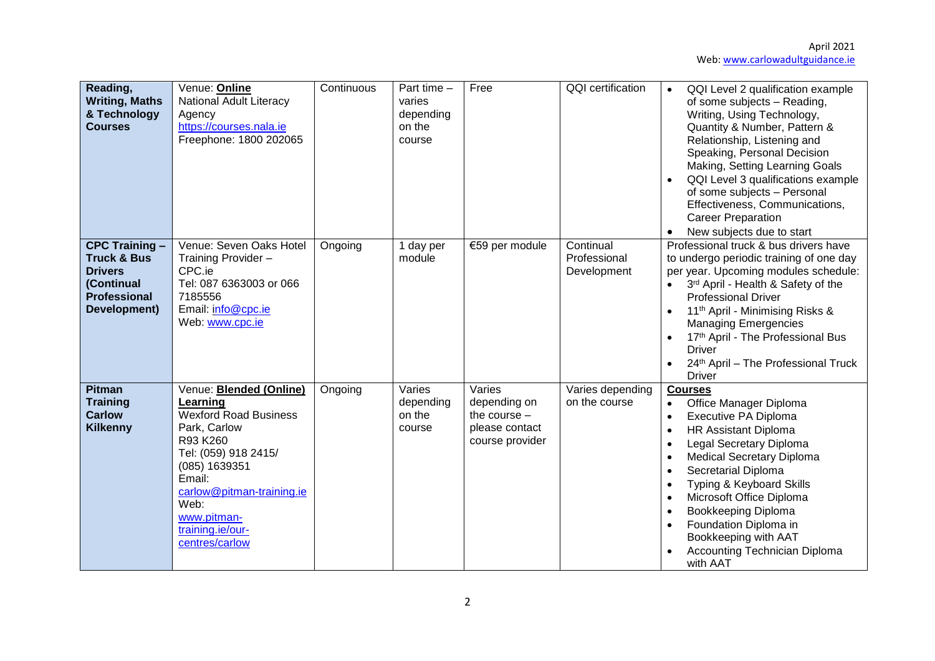| Reading,<br><b>Writing, Maths</b><br>& Technology<br><b>Courses</b>                                                    | Venue: Online<br><b>National Adult Literacy</b><br>Agency<br>https://courses.nala.ie<br>Freephone: 1800 202065                                                                                                                                      | Continuous | Part time -<br>varies<br>depending<br>on the<br>course | Free                                                                          | <b>QQI</b> certification                 | QQI Level 2 qualification example<br>$\bullet$<br>of some subjects - Reading,<br>Writing, Using Technology,<br>Quantity & Number, Pattern &<br>Relationship, Listening and<br>Speaking, Personal Decision<br>Making, Setting Learning Goals<br>QQI Level 3 qualifications example<br>of some subjects - Personal<br>Effectiveness, Communications,<br><b>Career Preparation</b><br>New subjects due to start |
|------------------------------------------------------------------------------------------------------------------------|-----------------------------------------------------------------------------------------------------------------------------------------------------------------------------------------------------------------------------------------------------|------------|--------------------------------------------------------|-------------------------------------------------------------------------------|------------------------------------------|--------------------------------------------------------------------------------------------------------------------------------------------------------------------------------------------------------------------------------------------------------------------------------------------------------------------------------------------------------------------------------------------------------------|
| <b>CPC Training -</b><br><b>Truck &amp; Bus</b><br><b>Drivers</b><br>(Continual<br><b>Professional</b><br>Development) | Venue: Seven Oaks Hotel<br>Training Provider -<br>CPC.ie<br>Tel: 087 6363003 or 066<br>7185556<br>Email: info@cpc.ie<br>Web: www.cpc.ie                                                                                                             | Ongoing    | 1 day per<br>module                                    | €59 per module                                                                | Continual<br>Professional<br>Development | Professional truck & bus drivers have<br>to undergo periodic training of one day<br>per year. Upcoming modules schedule:<br>3rd April - Health & Safety of the<br>$\bullet$<br><b>Professional Driver</b><br>11 <sup>th</sup> April - Minimising Risks &<br><b>Managing Emergencies</b><br>17th April - The Professional Bus<br><b>Driver</b><br>24th April - The Professional Truck<br><b>Driver</b>        |
| <b>Pitman</b><br><b>Training</b><br><b>Carlow</b><br><b>Kilkenny</b>                                                   | Venue: <b>Blended (Online)</b><br>Learning<br><b>Wexford Road Business</b><br>Park, Carlow<br>R93 K260<br>Tel: (059) 918 2415/<br>(085) 1639351<br>Email:<br>carlow@pitman-training.ie<br>Web:<br>www.pitman-<br>training.ie/our-<br>centres/carlow | Ongoing    | Varies<br>depending<br>on the<br>course                | Varies<br>depending on<br>the course $-$<br>please contact<br>course provider | Varies depending<br>on the course        | <b>Courses</b><br>Office Manager Diploma<br>$\bullet$<br>Executive PA Diploma<br><b>HR Assistant Diploma</b><br>Legal Secretary Diploma<br><b>Medical Secretary Diploma</b><br>Secretarial Diploma<br>Typing & Keyboard Skills<br>Microsoft Office Diploma<br>Bookkeeping Diploma<br>Foundation Diploma in<br>Bookkeeping with AAT<br>Accounting Technician Diploma<br>with AAT                              |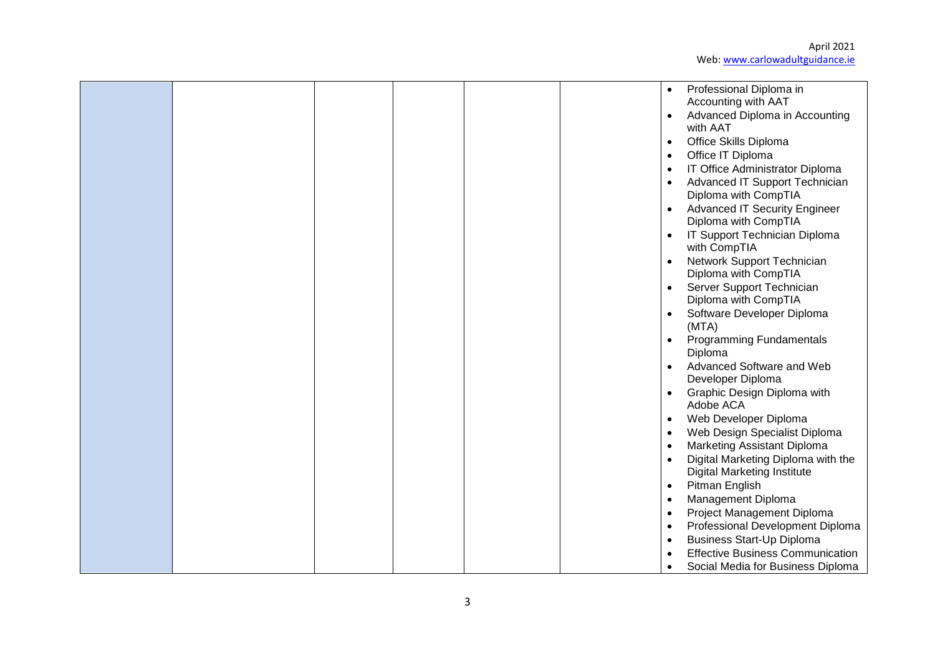April 2021 Web[: www.carlowadultguidance.ie](http://www.carlowadultguidance.ie/)

|  |  |  | $\bullet$<br>$\bullet$ | Professional Diploma in<br>Accounting with AAT<br>Advanced Diploma in Accounting<br>with AAT<br>Office Skills Diploma |
|--|--|--|------------------------|-----------------------------------------------------------------------------------------------------------------------|
|  |  |  | $\bullet$              | Office IT Diploma                                                                                                     |
|  |  |  |                        | IT Office Administrator Diploma                                                                                       |
|  |  |  | ٠                      | Advanced IT Support Technician                                                                                        |
|  |  |  |                        | Diploma with CompTIA                                                                                                  |
|  |  |  |                        | <b>Advanced IT Security Engineer</b>                                                                                  |
|  |  |  |                        | Diploma with CompTIA                                                                                                  |
|  |  |  |                        | IT Support Technician Diploma<br>with CompTIA                                                                         |
|  |  |  |                        | Network Support Technician                                                                                            |
|  |  |  |                        | Diploma with CompTIA                                                                                                  |
|  |  |  |                        | Server Support Technician                                                                                             |
|  |  |  |                        | Diploma with CompTIA                                                                                                  |
|  |  |  |                        | Software Developer Diploma<br>(MTA)                                                                                   |
|  |  |  |                        | <b>Programming Fundamentals</b>                                                                                       |
|  |  |  |                        | Diploma                                                                                                               |
|  |  |  |                        | Advanced Software and Web<br>Developer Diploma                                                                        |
|  |  |  |                        | Graphic Design Diploma with                                                                                           |
|  |  |  |                        | Adobe ACA                                                                                                             |
|  |  |  |                        | Web Developer Diploma                                                                                                 |
|  |  |  |                        | Web Design Specialist Diploma                                                                                         |
|  |  |  |                        | <b>Marketing Assistant Diploma</b>                                                                                    |
|  |  |  |                        | Digital Marketing Diploma with the                                                                                    |
|  |  |  |                        | <b>Digital Marketing Institute</b>                                                                                    |
|  |  |  | $\bullet$              | Pitman English                                                                                                        |
|  |  |  | $\bullet$              | Management Diploma                                                                                                    |
|  |  |  | $\bullet$              | Project Management Diploma                                                                                            |
|  |  |  | $\bullet$              | Professional Development Diploma<br><b>Business Start-Up Diploma</b>                                                  |
|  |  |  |                        | <b>Effective Business Communication</b>                                                                               |
|  |  |  |                        | Social Media for Business Diploma                                                                                     |
|  |  |  |                        |                                                                                                                       |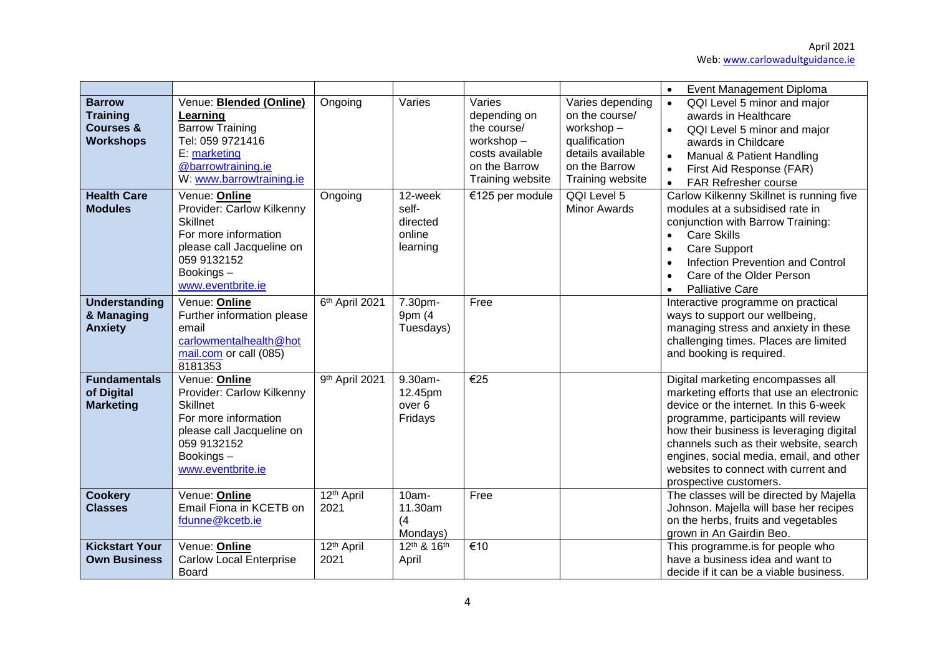|                                                                              |                                                                                                                                                                     |                                |                                                    |                                                                                                            |                                                                                                                            | Event Management Diploma<br>$\bullet$                                                                                                                                                                                                                                                                                                                             |
|------------------------------------------------------------------------------|---------------------------------------------------------------------------------------------------------------------------------------------------------------------|--------------------------------|----------------------------------------------------|------------------------------------------------------------------------------------------------------------|----------------------------------------------------------------------------------------------------------------------------|-------------------------------------------------------------------------------------------------------------------------------------------------------------------------------------------------------------------------------------------------------------------------------------------------------------------------------------------------------------------|
| <b>Barrow</b><br><b>Training</b><br><b>Courses &amp;</b><br><b>Workshops</b> | Venue: <b>Blended (Online)</b><br>Learning<br><b>Barrow Training</b><br>Tel: 059 9721416<br>E: marketing<br>@barrowtraining.ie<br>W: www.barrowtraining.ie          | Ongoing                        | Varies                                             | Varies<br>depending on<br>the course/<br>workshop-<br>costs available<br>on the Barrow<br>Training website | Varies depending<br>on the course/<br>workshop-<br>qualification<br>details available<br>on the Barrow<br>Training website | QQI Level 5 minor and major<br>$\bullet$<br>awards in Healthcare<br>QQI Level 5 minor and major<br>$\bullet$<br>awards in Childcare<br>Manual & Patient Handling<br>$\bullet$<br>First Aid Response (FAR)<br>$\bullet$<br><b>FAR Refresher course</b><br>$\bullet$                                                                                                |
| <b>Health Care</b><br><b>Modules</b>                                         | Venue: Online<br>Provider: Carlow Kilkenny<br><b>Skillnet</b><br>For more information<br>please call Jacqueline on<br>059 9132152<br>Bookings-<br>www.eventbrite.ie | Ongoing                        | 12-week<br>self-<br>directed<br>online<br>learning | €125 per module                                                                                            | QQI Level 5<br><b>Minor Awards</b>                                                                                         | Carlow Kilkenny Skillnet is running five<br>modules at a subsidised rate in<br>conjunction with Barrow Training:<br><b>Care Skills</b><br>$\bullet$<br><b>Care Support</b><br>$\bullet$<br>Infection Prevention and Control<br>$\bullet$<br>Care of the Older Person<br>$\bullet$<br><b>Palliative Care</b><br>$\bullet$                                          |
| <b>Understanding</b><br>& Managing<br><b>Anxiety</b>                         | Venue: <b>Online</b><br>Further information please<br>email<br>carlowmentalhealth@hot<br>mail.com or call (085)<br>8181353                                          | 6th April 2021                 | 7.30pm-<br>9pm (4<br>Tuesdays)                     | Free                                                                                                       |                                                                                                                            | Interactive programme on practical<br>ways to support our wellbeing,<br>managing stress and anxiety in these<br>challenging times. Places are limited<br>and booking is required.                                                                                                                                                                                 |
| <b>Fundamentals</b><br>of Digital<br><b>Marketing</b>                        | Venue: Online<br>Provider: Carlow Kilkenny<br><b>Skillnet</b><br>For more information<br>please call Jacqueline on<br>059 9132152<br>Bookings-<br>www.eventbrite.ie | 9th April 2021                 | 9.30am-<br>12.45pm<br>over <sub>6</sub><br>Fridays | $\overline{\epsilon}$ 25                                                                                   |                                                                                                                            | Digital marketing encompasses all<br>marketing efforts that use an electronic<br>device or the internet. In this 6-week<br>programme, participants will review<br>how their business is leveraging digital<br>channels such as their website, search<br>engines, social media, email, and other<br>websites to connect with current and<br>prospective customers. |
| <b>Cookery</b><br><b>Classes</b>                                             | Venue: Online<br>Email Fiona in KCETB on<br>fdunne@kcetb.ie                                                                                                         | 12 <sup>th</sup> April<br>2021 | 10am-<br>11.30am<br>(4)<br>Mondays)                | Free                                                                                                       |                                                                                                                            | The classes will be directed by Majella<br>Johnson. Majella will base her recipes<br>on the herbs, fruits and vegetables<br>grown in An Gairdin Beo.                                                                                                                                                                                                              |
| <b>Kickstart Your</b><br><b>Own Business</b>                                 | Venue: Online<br><b>Carlow Local Enterprise</b><br><b>Board</b>                                                                                                     | 12 <sup>th</sup> April<br>2021 | 12th & 16th<br>April                               | $\overline{\epsilon}$ 10                                                                                   |                                                                                                                            | This programme.is for people who<br>have a business idea and want to<br>decide if it can be a viable business.                                                                                                                                                                                                                                                    |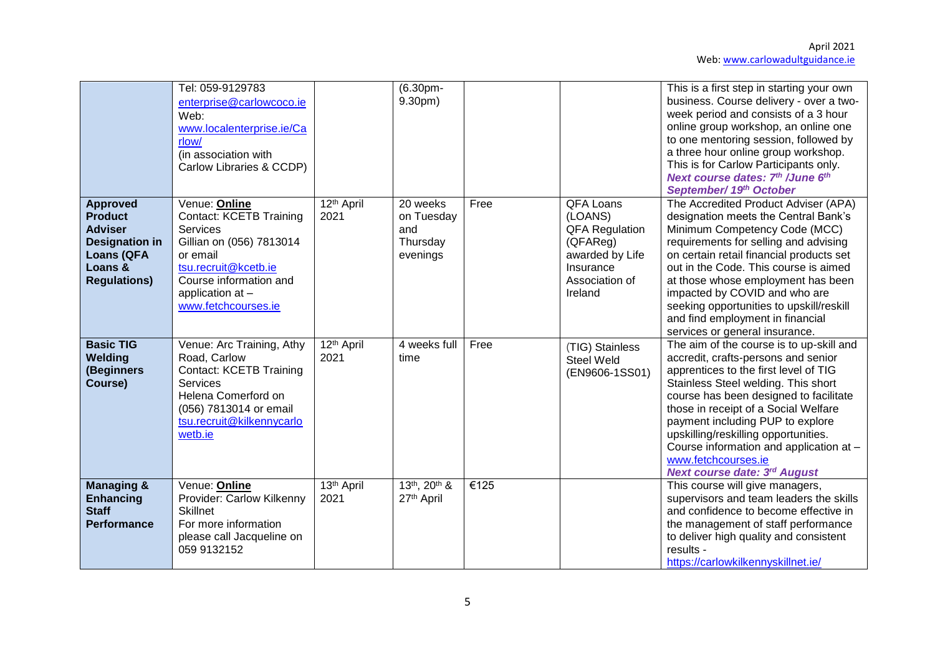|                                                                                                                                     | Tel: 059-9129783<br>enterprise@carlowcoco.ie<br>Web:<br>www.localenterprise.ie/Ca<br>rlow/<br>(in association with<br>Carlow Libraries & CCDP)                                                          |                                | $(6.30pm -$<br>9.30pm)                                |      |                                                                                                                        | This is a first step in starting your own<br>business. Course delivery - over a two-<br>week period and consists of a 3 hour<br>online group workshop, an online one<br>to one mentoring session, followed by<br>a three hour online group workshop.<br>This is for Carlow Participants only.<br>Next course dates: 7th / June 6th<br>September/ 19th October                                                                          |
|-------------------------------------------------------------------------------------------------------------------------------------|---------------------------------------------------------------------------------------------------------------------------------------------------------------------------------------------------------|--------------------------------|-------------------------------------------------------|------|------------------------------------------------------------------------------------------------------------------------|----------------------------------------------------------------------------------------------------------------------------------------------------------------------------------------------------------------------------------------------------------------------------------------------------------------------------------------------------------------------------------------------------------------------------------------|
| <b>Approved</b><br><b>Product</b><br><b>Adviser</b><br><b>Designation in</b><br><b>Loans (QFA</b><br>Loans &<br><b>Regulations)</b> | Venue: Online<br><b>Contact: KCETB Training</b><br><b>Services</b><br>Gillian on (056) 7813014<br>or email<br>tsu.recruit@kcetb.ie<br>Course information and<br>application at -<br>www.fetchcourses.ie | 12 <sup>th</sup> April<br>2021 | 20 weeks<br>on Tuesday<br>and<br>Thursday<br>evenings | Free | QFA Loans<br>(LOANS)<br><b>QFA Regulation</b><br>(QFAReg)<br>awarded by Life<br>Insurance<br>Association of<br>Ireland | The Accredited Product Adviser (APA)<br>designation meets the Central Bank's<br>Minimum Competency Code (MCC)<br>requirements for selling and advising<br>on certain retail financial products set<br>out in the Code. This course is aimed<br>at those whose employment has been<br>impacted by COVID and who are<br>seeking opportunities to upskill/reskill<br>and find employment in financial<br>services or general insurance.   |
| <b>Basic TIG</b><br>Welding<br>(Beginners<br>Course)                                                                                | Venue: Arc Training, Athy<br>Road, Carlow<br><b>Contact: KCETB Training</b><br>Services<br>Helena Comerford on<br>(056) 7813014 or email<br>tsu.recruit@kilkennycarlo<br>wetb.ie                        | 12 <sup>th</sup> April<br>2021 | 4 weeks full<br>time                                  | Free | (TIG) Stainless<br><b>Steel Weld</b><br>(EN9606-1SS01)                                                                 | The aim of the course is to up-skill and<br>accredit, crafts-persons and senior<br>apprentices to the first level of TIG<br>Stainless Steel welding. This short<br>course has been designed to facilitate<br>those in receipt of a Social Welfare<br>payment including PUP to explore<br>upskilling/reskilling opportunities.<br>Course information and application at -<br>www.fetchcourses.ie<br><b>Next course date: 3rd August</b> |
| <b>Managing &amp;</b><br><b>Enhancing</b><br><b>Staff</b><br><b>Performance</b>                                                     | Venue: Online<br>Provider: Carlow Kilkenny<br><b>Skillnet</b><br>For more information<br>please call Jacqueline on<br>059 9132152                                                                       | 13th April<br>2021             | 13th, 20th &<br>27 <sup>th</sup> April                | €125 |                                                                                                                        | This course will give managers,<br>supervisors and team leaders the skills<br>and confidence to become effective in<br>the management of staff performance<br>to deliver high quality and consistent<br>results -<br>https://carlowkilkennyskillnet.ie/                                                                                                                                                                                |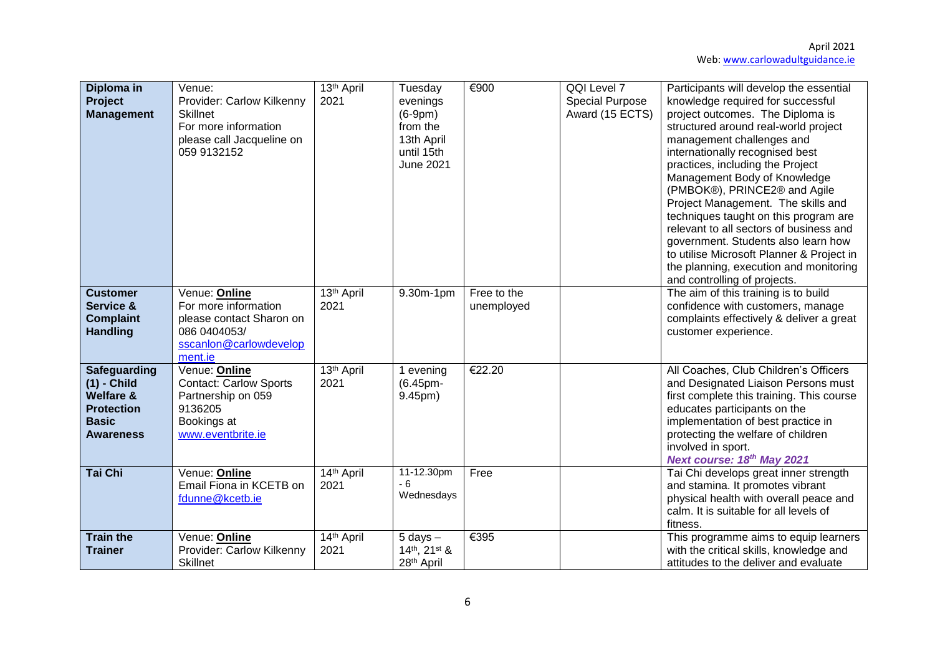| Diploma in<br>Project<br><b>Management</b>                                                                            | Venue:<br>Provider: Carlow Kilkenny<br><b>Skillnet</b><br>For more information<br>please call Jacqueline on<br>059 9132152 | 13 <sup>th</sup> April<br>2021 | Tuesday<br>evenings<br>$(6-9pm)$<br>from the<br>13th April<br>until 15th<br><b>June 2021</b> | €900                      | QQI Level 7<br><b>Special Purpose</b><br>Award (15 ECTS) | Participants will develop the essential<br>knowledge required for successful<br>project outcomes. The Diploma is<br>structured around real-world project<br>management challenges and<br>internationally recognised best<br>practices, including the Project<br>Management Body of Knowledge<br>(PMBOK®), PRINCE2® and Agile<br>Project Management. The skills and<br>techniques taught on this program are<br>relevant to all sectors of business and<br>government. Students also learn how<br>to utilise Microsoft Planner & Project in<br>the planning, execution and monitoring<br>and controlling of projects. |
|-----------------------------------------------------------------------------------------------------------------------|----------------------------------------------------------------------------------------------------------------------------|--------------------------------|----------------------------------------------------------------------------------------------|---------------------------|----------------------------------------------------------|----------------------------------------------------------------------------------------------------------------------------------------------------------------------------------------------------------------------------------------------------------------------------------------------------------------------------------------------------------------------------------------------------------------------------------------------------------------------------------------------------------------------------------------------------------------------------------------------------------------------|
| <b>Customer</b><br>Service &<br><b>Complaint</b><br><b>Handling</b>                                                   | Venue: Online<br>For more information<br>please contact Sharon on<br>086 0404053/<br>sscanlon@carlowdevelop<br>ment.ie     | 13 <sup>th</sup> April<br>2021 | 9.30m-1pm                                                                                    | Free to the<br>unemployed |                                                          | The aim of this training is to build<br>confidence with customers, manage<br>complaints effectively & deliver a great<br>customer experience.                                                                                                                                                                                                                                                                                                                                                                                                                                                                        |
| <b>Safeguarding</b><br>$(1)$ - Child<br><b>Welfare &amp;</b><br><b>Protection</b><br><b>Basic</b><br><b>Awareness</b> | Venue: Online<br>Contact: Carlow Sports<br>Partnership on 059<br>9136205<br>Bookings at<br>www.eventbrite.ie               | 13 <sup>th</sup> April<br>2021 | 1 evening<br>(6.45pm-<br>9.45pm)                                                             | €22.20                    |                                                          | All Coaches, Club Children's Officers<br>and Designated Liaison Persons must<br>first complete this training. This course<br>educates participants on the<br>implementation of best practice in<br>protecting the welfare of children<br>involved in sport.<br>Next course: 18th May 2021                                                                                                                                                                                                                                                                                                                            |
| Tai Chi                                                                                                               | Venue: Online<br>Email Fiona in KCETB on<br>fdunne@kcetb.ie                                                                | 14th April<br>2021             | 11-12.30pm<br>$-6$<br>Wednesdays                                                             | Free                      |                                                          | Tai Chi develops great inner strength<br>and stamina. It promotes vibrant<br>physical health with overall peace and<br>calm. It is suitable for all levels of<br>fitness.                                                                                                                                                                                                                                                                                                                                                                                                                                            |
| <b>Train the</b><br><b>Trainer</b>                                                                                    | Venue: Online<br>Provider: Carlow Kilkenny<br><b>Skillnet</b>                                                              | 14th April<br>2021             | $5$ days $-$<br>14th, 21st &<br>28 <sup>th</sup> April                                       | €395                      |                                                          | This programme aims to equip learners<br>with the critical skills, knowledge and<br>attitudes to the deliver and evaluate                                                                                                                                                                                                                                                                                                                                                                                                                                                                                            |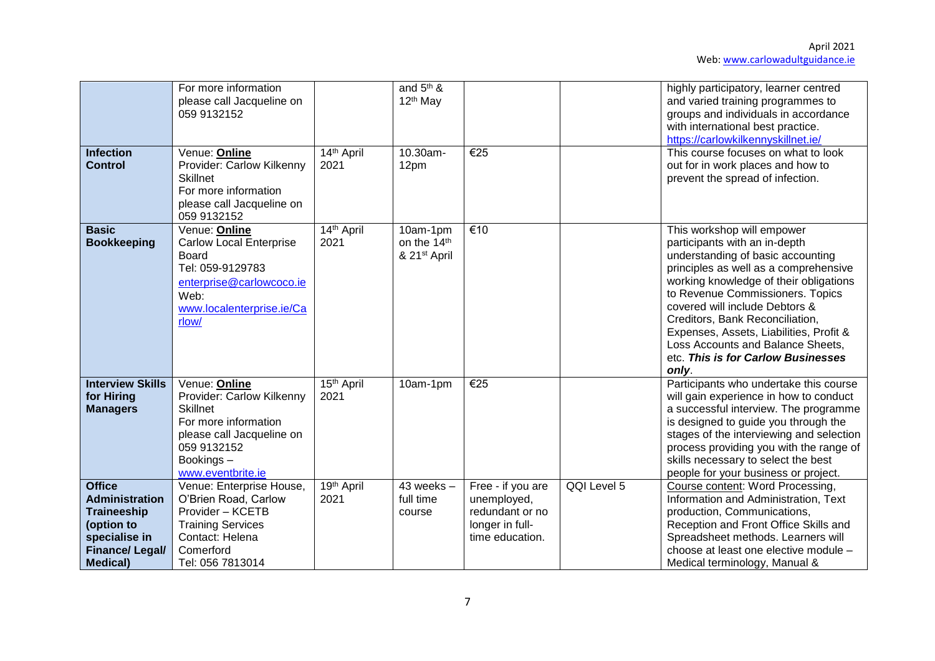|                                                                                                                                          | For more information<br>please call Jacqueline on<br>059 9132152                                                                                                    |                                | and 5 <sup>th</sup> &<br>12 <sup>th</sup> May       |                                                                                           |             | highly participatory, learner centred<br>and varied training programmes to<br>groups and individuals in accordance<br>with international best practice.<br>https://carlowkilkennyskillnet.ie/                                                                                                                                                                                                                               |
|------------------------------------------------------------------------------------------------------------------------------------------|---------------------------------------------------------------------------------------------------------------------------------------------------------------------|--------------------------------|-----------------------------------------------------|-------------------------------------------------------------------------------------------|-------------|-----------------------------------------------------------------------------------------------------------------------------------------------------------------------------------------------------------------------------------------------------------------------------------------------------------------------------------------------------------------------------------------------------------------------------|
| <b>Infection</b><br><b>Control</b>                                                                                                       | Venue: Online<br>Provider: Carlow Kilkenny<br><b>Skillnet</b><br>For more information<br>please call Jacqueline on<br>059 9132152                                   | 14th April<br>2021             | 10.30am-<br>12pm                                    | $\overline{\epsilon}$ 25                                                                  |             | This course focuses on what to look<br>out for in work places and how to<br>prevent the spread of infection.                                                                                                                                                                                                                                                                                                                |
| <b>Basic</b><br><b>Bookkeeping</b>                                                                                                       | Venue: Online<br><b>Carlow Local Enterprise</b><br>Board<br>Tel: 059-9129783<br>enterprise@carlowcoco.ie<br>Web:<br>www.localenterprise.ie/Ca<br>rlow/              | 14th April<br>2021             | 10am-1pm<br>on the 14th<br>& 21 <sup>st</sup> April | €10                                                                                       |             | This workshop will empower<br>participants with an in-depth<br>understanding of basic accounting<br>principles as well as a comprehensive<br>working knowledge of their obligations<br>to Revenue Commissioners. Topics<br>covered will include Debtors &<br>Creditors, Bank Reconciliation,<br>Expenses, Assets, Liabilities, Profit &<br>Loss Accounts and Balance Sheets,<br>etc. This is for Carlow Businesses<br>only. |
| <b>Interview Skills</b><br>for Hiring<br><b>Managers</b>                                                                                 | Venue: Online<br>Provider: Carlow Kilkenny<br><b>Skillnet</b><br>For more information<br>please call Jacqueline on<br>059 9132152<br>Bookings-<br>www.eventbrite.ie | 15 <sup>th</sup> April<br>2021 | 10am-1pm                                            | €25                                                                                       |             | Participants who undertake this course<br>will gain experience in how to conduct<br>a successful interview. The programme<br>is designed to guide you through the<br>stages of the interviewing and selection<br>process providing you with the range of<br>skills necessary to select the best<br>people for your business or project.                                                                                     |
| <b>Office</b><br><b>Administration</b><br><b>Traineeship</b><br>(option to<br>specialise in<br><b>Finance/Legal/</b><br><b>Medical</b> ) | Venue: Enterprise House,<br>O'Brien Road, Carlow<br>Provider - KCETB<br><b>Training Services</b><br>Contact: Helena<br>Comerford<br>Tel: 056 7813014                | 19th April<br>2021             | $43$ weeks $-$<br>full time<br>course               | Free - if you are<br>unemployed,<br>redundant or no<br>longer in full-<br>time education. | QQI Level 5 | Course content: Word Processing,<br>Information and Administration, Text<br>production, Communications,<br>Reception and Front Office Skills and<br>Spreadsheet methods. Learners will<br>choose at least one elective module -<br>Medical terminology, Manual &                                                                                                                                                            |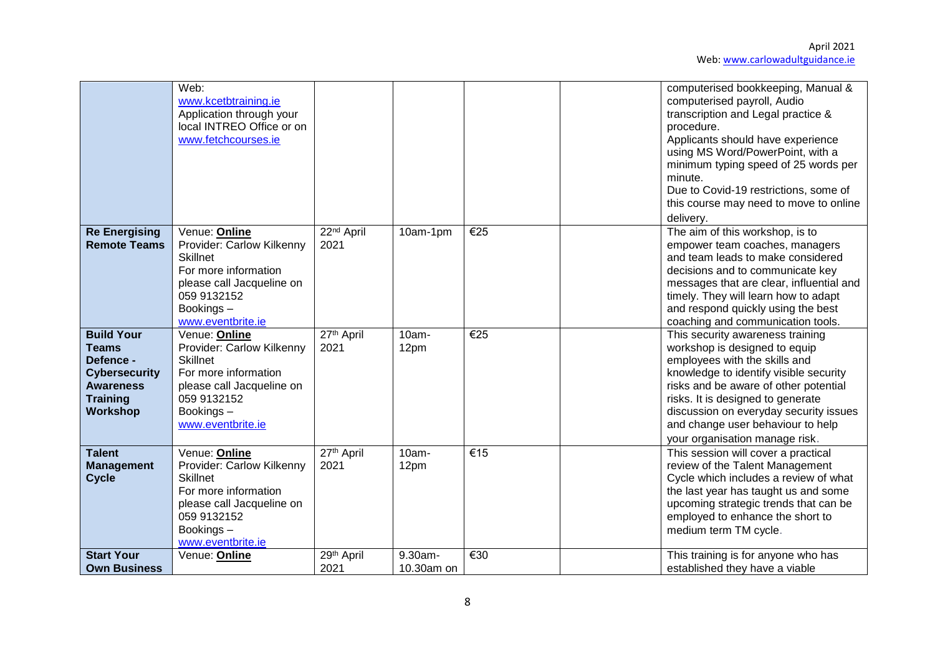|                                                                                                                                  | Web:<br>www.kcetbtraining.ie<br>Application through your<br>local INTREO Office or on<br>www.fetchcourses.ie                                                        |                                |                       |     | computerised bookkeeping, Manual &<br>computerised payroll, Audio<br>transcription and Legal practice &<br>procedure.<br>Applicants should have experience<br>using MS Word/PowerPoint, with a<br>minimum typing speed of 25 words per<br>minute.<br>Due to Covid-19 restrictions, some of<br>this course may need to move to online<br>delivery. |
|----------------------------------------------------------------------------------------------------------------------------------|---------------------------------------------------------------------------------------------------------------------------------------------------------------------|--------------------------------|-----------------------|-----|---------------------------------------------------------------------------------------------------------------------------------------------------------------------------------------------------------------------------------------------------------------------------------------------------------------------------------------------------|
| <b>Re Energising</b><br><b>Remote Teams</b>                                                                                      | Venue: Online<br>Provider: Carlow Kilkenny<br><b>Skillnet</b><br>For more information<br>please call Jacqueline on<br>059 9132152<br>Bookings-<br>www.eventbrite.ie | $22nd$ April<br>2021           | 10am-1pm              | €25 | The aim of this workshop, is to<br>empower team coaches, managers<br>and team leads to make considered<br>decisions and to communicate key<br>messages that are clear, influential and<br>timely. They will learn how to adapt<br>and respond quickly using the best<br>coaching and communication tools.                                         |
| <b>Build Your</b><br><b>Teams</b><br>Defence -<br><b>Cybersecurity</b><br><b>Awareness</b><br><b>Training</b><br><b>Workshop</b> | Venue: Online<br>Provider: Carlow Kilkenny<br><b>Skillnet</b><br>For more information<br>please call Jacqueline on<br>059 9132152<br>Bookings-<br>www.eventbrite.ie | 27th April<br>2021             | 10am-<br>12pm         | €25 | This security awareness training<br>workshop is designed to equip<br>employees with the skills and<br>knowledge to identify visible security<br>risks and be aware of other potential<br>risks. It is designed to generate<br>discussion on everyday security issues<br>and change user behaviour to help<br>your organisation manage risk.       |
| <b>Talent</b><br><b>Management</b><br><b>Cycle</b>                                                                               | Venue: Online<br>Provider: Carlow Kilkenny<br><b>Skillnet</b><br>For more information<br>please call Jacqueline on<br>059 9132152<br>Bookings-<br>www.eventbrite.ie | 27 <sup>th</sup> April<br>2021 | 10am-<br>12pm         | €15 | This session will cover a practical<br>review of the Talent Management<br>Cycle which includes a review of what<br>the last year has taught us and some<br>upcoming strategic trends that can be<br>employed to enhance the short to<br>medium term TM cycle.                                                                                     |
| <b>Start Your</b><br><b>Own Business</b>                                                                                         | Venue: Online                                                                                                                                                       | 29th April<br>2021             | 9.30am-<br>10.30am on | €30 | This training is for anyone who has<br>established they have a viable                                                                                                                                                                                                                                                                             |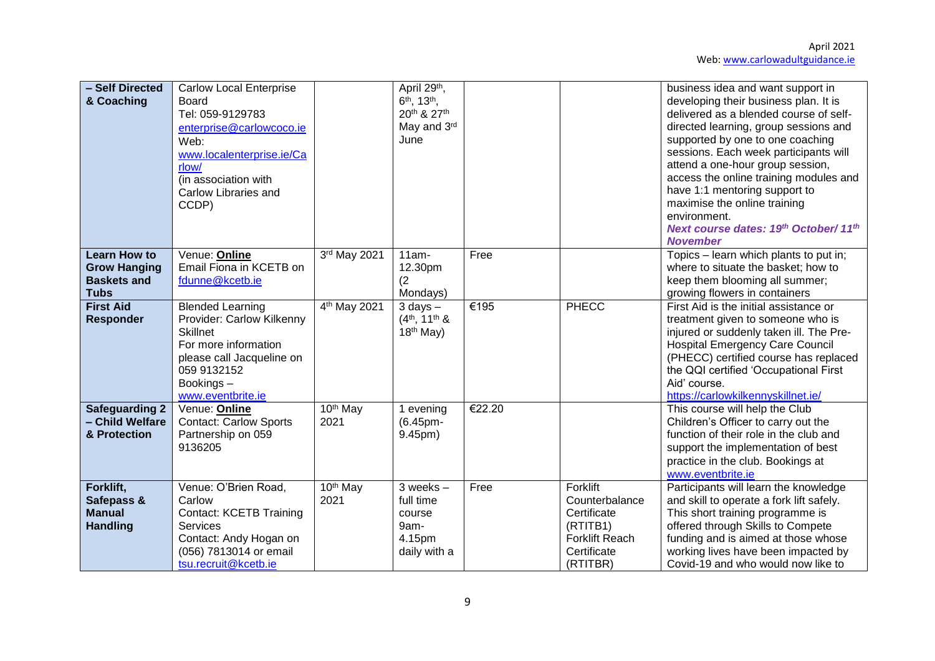| - Self Directed<br>& Coaching                                                   | <b>Carlow Local Enterprise</b><br><b>Board</b><br>Tel: 059-9129783<br>enterprise@carlowcoco.ie<br>Web:<br>www.localenterprise.ie/Ca<br>rlow/<br>(in association with<br>Carlow Libraries and<br>CCDP) |                              | April 29th,<br>6 <sup>th</sup> , 13 <sup>th</sup> ,<br>20th & 27th<br>May and 3rd<br>June |        |                                                                                                    | business idea and want support in<br>developing their business plan. It is<br>delivered as a blended course of self-<br>directed learning, group sessions and<br>supported by one to one coaching<br>sessions. Each week participants will<br>attend a one-hour group session,<br>access the online training modules and<br>have 1:1 mentoring support to<br>maximise the online training<br>environment.<br>Next course dates: 19th October/ 11th<br><b>November</b> |
|---------------------------------------------------------------------------------|-------------------------------------------------------------------------------------------------------------------------------------------------------------------------------------------------------|------------------------------|-------------------------------------------------------------------------------------------|--------|----------------------------------------------------------------------------------------------------|-----------------------------------------------------------------------------------------------------------------------------------------------------------------------------------------------------------------------------------------------------------------------------------------------------------------------------------------------------------------------------------------------------------------------------------------------------------------------|
| <b>Learn How to</b><br><b>Grow Hanging</b><br><b>Baskets and</b><br><b>Tubs</b> | Venue: Online<br>Email Fiona in KCETB on<br>fdunne@kcetb.ie                                                                                                                                           | 3rd May 2021                 | $11am -$<br>12.30pm<br>(2)<br>Mondays)                                                    | Free   |                                                                                                    | Topics - learn which plants to put in;<br>where to situate the basket; how to<br>keep them blooming all summer;<br>growing flowers in containers                                                                                                                                                                                                                                                                                                                      |
| <b>First Aid</b><br><b>Responder</b>                                            | <b>Blended Learning</b><br>Provider: Carlow Kilkenny<br><b>Skillnet</b><br>For more information<br>please call Jacqueline on<br>059 9132152<br>Bookings-<br>www.eventbrite.ie                         | 4 <sup>th</sup> May 2021     | $3$ days $-$<br>$(4th, 11th$ &<br>$18th$ May)                                             | €195   | <b>PHECC</b>                                                                                       | First Aid is the initial assistance or<br>treatment given to someone who is<br>injured or suddenly taken ill. The Pre-<br><b>Hospital Emergency Care Council</b><br>(PHECC) certified course has replaced<br>the QQI certified 'Occupational First<br>Aid' course.<br>https://carlowkilkennyskillnet.ie/                                                                                                                                                              |
| <b>Safeguarding 2</b><br>- Child Welfare<br>& Protection                        | Venue: Online<br><b>Contact: Carlow Sports</b><br>Partnership on 059<br>9136205                                                                                                                       | 10 <sup>th</sup> May<br>2021 | 1 evening<br>(6.45pm-<br>9.45pm)                                                          | €22.20 |                                                                                                    | This course will help the Club<br>Children's Officer to carry out the<br>function of their role in the club and<br>support the implementation of best<br>practice in the club. Bookings at<br>www.eventbrite.ie                                                                                                                                                                                                                                                       |
| Forklift,<br>Safepass &<br><b>Manual</b><br><b>Handling</b>                     | Venue: O'Brien Road,<br>Carlow<br><b>Contact: KCETB Training</b><br>Services<br>Contact: Andy Hogan on<br>(056) 7813014 or email<br>tsu.recruit@kcetb.ie                                              | 10 <sup>th</sup> May<br>2021 | $3$ weeks $-$<br>full time<br>course<br>9am-<br>4.15pm<br>daily with a                    | Free   | Forklift<br>Counterbalance<br>Certificate<br>(RTITB1)<br>Forklift Reach<br>Certificate<br>(RTITBR) | Participants will learn the knowledge<br>and skill to operate a fork lift safely.<br>This short training programme is<br>offered through Skills to Compete<br>funding and is aimed at those whose<br>working lives have been impacted by<br>Covid-19 and who would now like to                                                                                                                                                                                        |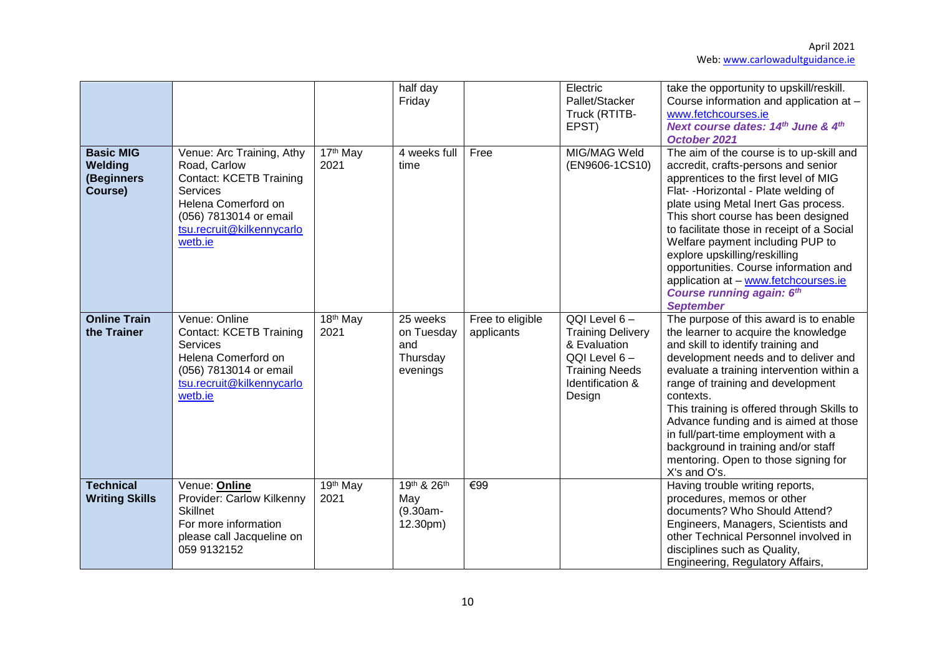|                                                      |                                                                                                                                                                                  |                                           | half day<br>Friday                                    |                                | Electric<br>Pallet/Stacker<br>Truck (RTITB-<br>EPST)                                                                                 | take the opportunity to upskill/reskill.<br>Course information and application at -<br>www.fetchcourses.ie<br>Next course dates: 14 <sup>th</sup> June & 4 <sup>th</sup><br>October 2021                                                                                                                                                                                                                                                                                                              |
|------------------------------------------------------|----------------------------------------------------------------------------------------------------------------------------------------------------------------------------------|-------------------------------------------|-------------------------------------------------------|--------------------------------|--------------------------------------------------------------------------------------------------------------------------------------|-------------------------------------------------------------------------------------------------------------------------------------------------------------------------------------------------------------------------------------------------------------------------------------------------------------------------------------------------------------------------------------------------------------------------------------------------------------------------------------------------------|
| <b>Basic MIG</b><br>Welding<br>(Beginners<br>Course) | Venue: Arc Training, Athy<br>Road, Carlow<br><b>Contact: KCETB Training</b><br>Services<br>Helena Comerford on<br>(056) 7813014 or email<br>tsu.recruit@kilkennycarlo<br>wetb.ie | 17 <sup>th</sup> May<br>2021              | 4 weeks full<br>time                                  | Free                           | MIG/MAG Weld<br>(EN9606-1CS10)                                                                                                       | The aim of the course is to up-skill and<br>accredit, crafts-persons and senior<br>apprentices to the first level of MIG<br>Flat- - Horizontal - Plate welding of<br>plate using Metal Inert Gas process.<br>This short course has been designed<br>to facilitate those in receipt of a Social<br>Welfare payment including PUP to<br>explore upskilling/reskilling<br>opportunities. Course information and<br>application at - www.fetchcourses.ie<br>Course running again: 6th<br><b>September</b> |
| <b>Online Train</b><br>the Trainer                   | Venue: Online<br><b>Contact: KCETB Training</b><br>Services<br>Helena Comerford on<br>(056) 7813014 or email<br>tsu.recruit@kilkennycarlo<br>wetb.ie                             | 18 <sup>th</sup> May<br>2021              | 25 weeks<br>on Tuesday<br>and<br>Thursday<br>evenings | Free to eligible<br>applicants | QQI Level 6-<br><b>Training Delivery</b><br>& Evaluation<br>$QQI$ Level $6 -$<br><b>Training Needs</b><br>Identification &<br>Design | The purpose of this award is to enable<br>the learner to acquire the knowledge<br>and skill to identify training and<br>development needs and to deliver and<br>evaluate a training intervention within a<br>range of training and development<br>contexts.<br>This training is offered through Skills to<br>Advance funding and is aimed at those<br>in full/part-time employment with a<br>background in training and/or staff<br>mentoring. Open to those signing for<br>X's and O's.              |
| <b>Technical</b><br><b>Writing Skills</b>            | Venue: Online<br>Provider: Carlow Kilkenny<br><b>Skillnet</b><br>For more information<br>please call Jacqueline on<br>059 9132152                                                | $\overline{19}$ <sup>th</sup> May<br>2021 | 19th & 26th<br>May<br>$(9.30am -$<br>12.30pm)         | €99                            |                                                                                                                                      | Having trouble writing reports,<br>procedures, memos or other<br>documents? Who Should Attend?<br>Engineers, Managers, Scientists and<br>other Technical Personnel involved in<br>disciplines such as Quality,<br>Engineering, Regulatory Affairs,                                                                                                                                                                                                                                                    |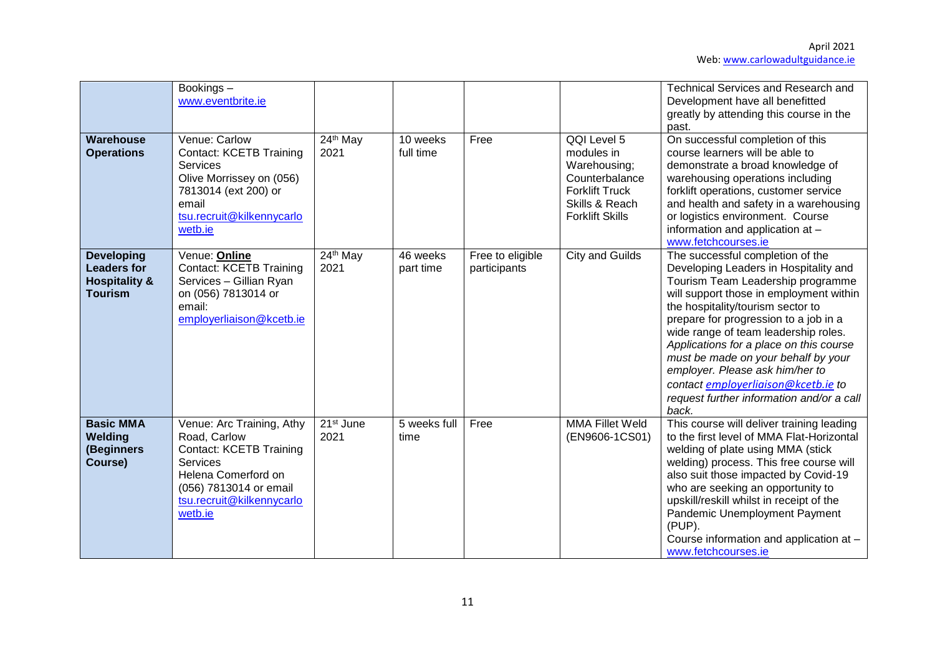|                                                                                       | Bookings-<br>www.eventbrite.ie                                                                                                                                                          |                               |                       |                                  |                                                                                                                                  | <b>Technical Services and Research and</b><br>Development have all benefitted<br>greatly by attending this course in the<br>past.                                                                                                                                                                                                                                                                                                                                                                 |
|---------------------------------------------------------------------------------------|-----------------------------------------------------------------------------------------------------------------------------------------------------------------------------------------|-------------------------------|-----------------------|----------------------------------|----------------------------------------------------------------------------------------------------------------------------------|---------------------------------------------------------------------------------------------------------------------------------------------------------------------------------------------------------------------------------------------------------------------------------------------------------------------------------------------------------------------------------------------------------------------------------------------------------------------------------------------------|
| Warehouse<br><b>Operations</b>                                                        | Venue: Carlow<br><b>Contact: KCETB Training</b><br><b>Services</b><br>Olive Morrissey on (056)<br>7813014 (ext 200) or<br>email<br>tsu.recruit@kilkennycarlo<br>wetb.ie                 | 24th May<br>2021              | 10 weeks<br>full time | Free                             | QQI Level 5<br>modules in<br>Warehousing;<br>Counterbalance<br><b>Forklift Truck</b><br>Skills & Reach<br><b>Forklift Skills</b> | On successful completion of this<br>course learners will be able to<br>demonstrate a broad knowledge of<br>warehousing operations including<br>forklift operations, customer service<br>and health and safety in a warehousing<br>or logistics environment. Course<br>information and application at -<br>www.fetchcourses.ie                                                                                                                                                                     |
| <b>Developing</b><br><b>Leaders for</b><br><b>Hospitality &amp;</b><br><b>Tourism</b> | Venue: Online<br><b>Contact: KCETB Training</b><br>Services - Gillian Ryan<br>on (056) 7813014 or<br>email:<br>employerliaison@kcetb.ie                                                 | 24th May<br>2021              | 46 weeks<br>part time | Free to eligible<br>participants | City and Guilds                                                                                                                  | The successful completion of the<br>Developing Leaders in Hospitality and<br>Tourism Team Leadership programme<br>will support those in employment within<br>the hospitality/tourism sector to<br>prepare for progression to a job in a<br>wide range of team leadership roles.<br>Applications for a place on this course<br>must be made on your behalf by your<br>employer. Please ask him/her to<br>contact employerliaison@kcetb.ie to<br>request further information and/or a call<br>back. |
| <b>Basic MMA</b><br>Welding<br>(Beginners<br>Course)                                  | Venue: Arc Training, Athy<br>Road, Carlow<br><b>Contact: KCETB Training</b><br><b>Services</b><br>Helena Comerford on<br>(056) 7813014 or email<br>tsu.recruit@kilkennycarlo<br>wetb.ie | 21 <sup>st</sup> June<br>2021 | 5 weeks full<br>time  | Free                             | <b>MMA Fillet Weld</b><br>(EN9606-1CS01)                                                                                         | This course will deliver training leading<br>to the first level of MMA Flat-Horizontal<br>welding of plate using MMA (stick<br>welding) process. This free course will<br>also suit those impacted by Covid-19<br>who are seeking an opportunity to<br>upskill/reskill whilst in receipt of the<br>Pandemic Unemployment Payment<br>(PUP).<br>Course information and application at -<br>www.fetchcourses.ie                                                                                      |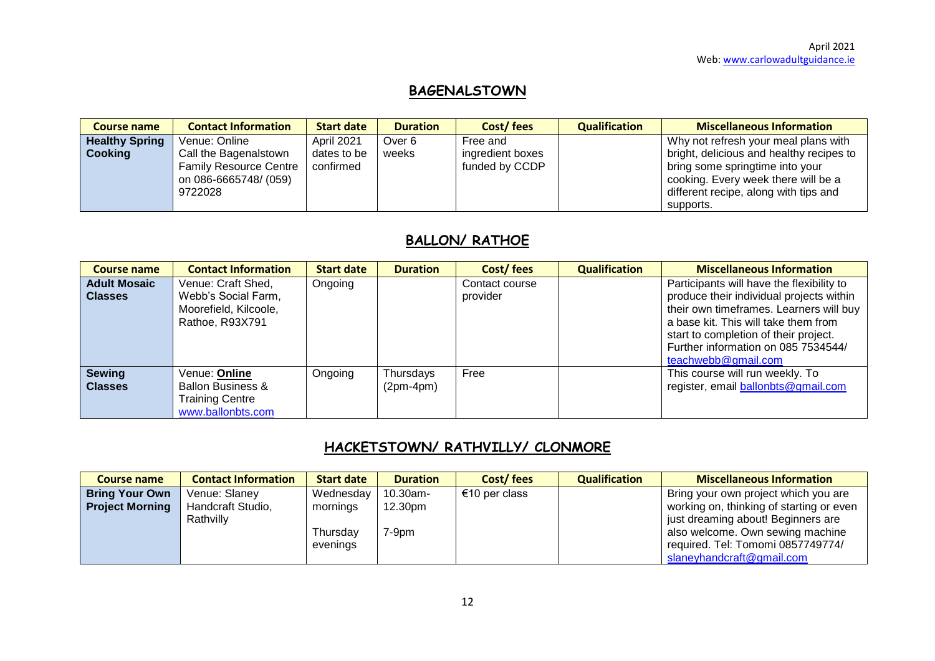# **BAGENALSTOWN**

| <b>Course name</b>    | <b>Contact Information</b>    | <b>Start date</b> | <b>Duration</b> | Cost/fees        | <b>Qualification</b> | <b>Miscellaneous Information</b>         |
|-----------------------|-------------------------------|-------------------|-----------------|------------------|----------------------|------------------------------------------|
| <b>Healthy Spring</b> | Venue: Online                 | <b>April 2021</b> | Over 6          | Free and         |                      | Why not refresh your meal plans with     |
| <b>Cooking</b>        | Call the Bagenalstown         | dates to be       | weeks           | ingredient boxes |                      | bright, delicious and healthy recipes to |
|                       | <b>Family Resource Centre</b> | confirmed         |                 | funded by CCDP   |                      | bring some springtime into your          |
|                       | on 086-6665748/ (059)         |                   |                 |                  |                      | cooking. Every week there will be a      |
|                       | 9722028                       |                   |                 |                  |                      | different recipe, along with tips and    |
|                       |                               |                   |                 |                  |                      | supports.                                |

# **BALLON/ RATHOE**

| <b>Course name</b>                    | <b>Contact Information</b>                                                                   | <b>Start date</b> | <b>Duration</b>          | Cost/fees                  | <b>Qualification</b> | <b>Miscellaneous Information</b>                                                                                                                                                                                                                                                |
|---------------------------------------|----------------------------------------------------------------------------------------------|-------------------|--------------------------|----------------------------|----------------------|---------------------------------------------------------------------------------------------------------------------------------------------------------------------------------------------------------------------------------------------------------------------------------|
| <b>Adult Mosaic</b><br><b>Classes</b> | Venue: Craft Shed,<br>Webb's Social Farm,<br>Moorefield, Kilcoole,<br>Rathoe, R93X791        | Ongoing           |                          | Contact course<br>provider |                      | Participants will have the flexibility to<br>produce their individual projects within<br>their own timeframes. Learners will buy<br>a base kit. This will take them from<br>start to completion of their project.<br>Further information on 085 7534544/<br>teachwebb@gmail.com |
| <b>Sewing</b><br><b>Classes</b>       | Venue: Online<br><b>Ballon Business &amp;</b><br><b>Training Centre</b><br>www.ballonbts.com | Ongoing           | Thursdays<br>$(2pm-4pm)$ | Free                       |                      | This course will run weekly. To<br>register, email ballonbts@gmail.com                                                                                                                                                                                                          |

# **HACKETSTOWN/ RATHVILLY/ CLONMORE**

| <b>Course name</b>     | <b>Contact Information</b>     | <b>Start date</b>                | <b>Duration</b>    | Cost/fees     | <b>Qualification</b> | <b>Miscellaneous Information</b>                                                                                                                                                     |
|------------------------|--------------------------------|----------------------------------|--------------------|---------------|----------------------|--------------------------------------------------------------------------------------------------------------------------------------------------------------------------------------|
| <b>Bring Your Own</b>  | Venue: Slaney                  | Wednesday                        | 10.30am-           | €10 per class |                      | Bring your own project which you are                                                                                                                                                 |
| <b>Project Morning</b> | Handcraft Studio,<br>Rathvilly | mornings<br>Thursdav<br>evenings | 12.30pm<br>$7-9pm$ |               |                      | working on, thinking of starting or even<br>just dreaming about! Beginners are<br>also welcome. Own sewing machine<br>required. Tel: Tomomi 0857749774/<br>slaneyhandcraft@gmail.com |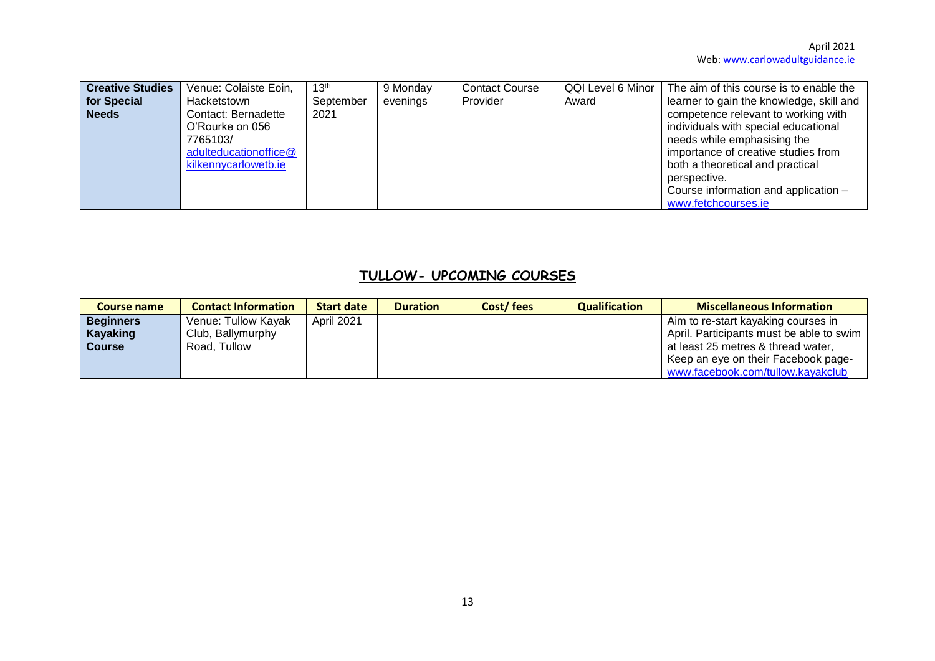| <b>Creative Studies</b> | Venue: Colaiste Eoin,                                                                               | 13 <sup>th</sup> | 9 Monday | <b>Contact Course</b> | QQI Level 6 Minor | The aim of this course is to enable the                                                                                                                                                                                                                              |
|-------------------------|-----------------------------------------------------------------------------------------------------|------------------|----------|-----------------------|-------------------|----------------------------------------------------------------------------------------------------------------------------------------------------------------------------------------------------------------------------------------------------------------------|
| for Special             | Hacketstown                                                                                         | September        | evenings | Provider              | Award             | learner to gain the knowledge, skill and                                                                                                                                                                                                                             |
| <b>Needs</b>            | Contact: Bernadette<br>O'Rourke on 056<br>7765103/<br>adulteducationoffice@<br>kilkennycarlowetb.ie | 2021             |          |                       |                   | competence relevant to working with<br>individuals with special educational<br>needs while emphasising the<br>importance of creative studies from<br>both a theoretical and practical<br>perspective.<br>Course information and application -<br>www.fetchcourses.ie |

# **TULLOW- UPCOMING COURSES**

| <b>Course name</b> | <b>Contact Information</b> | <b>Start date</b> | <b>Duration</b> | Cost/fees | <b>Qualification</b> | <b>Miscellaneous Information</b>         |
|--------------------|----------------------------|-------------------|-----------------|-----------|----------------------|------------------------------------------|
| <b>Beginners</b>   | Venue: Tullow Kayak        | April 2021        |                 |           |                      | Aim to re-start kayaking courses in      |
| Kayaking           | Club, Ballymurphy          |                   |                 |           |                      | April. Participants must be able to swim |
| <b>Course</b>      | Road, Tullow               |                   |                 |           |                      | at least 25 metres & thread water,       |
|                    |                            |                   |                 |           |                      | Keep an eye on their Facebook page-      |
|                    |                            |                   |                 |           |                      | www.facebook.com/tullow.kayakclub        |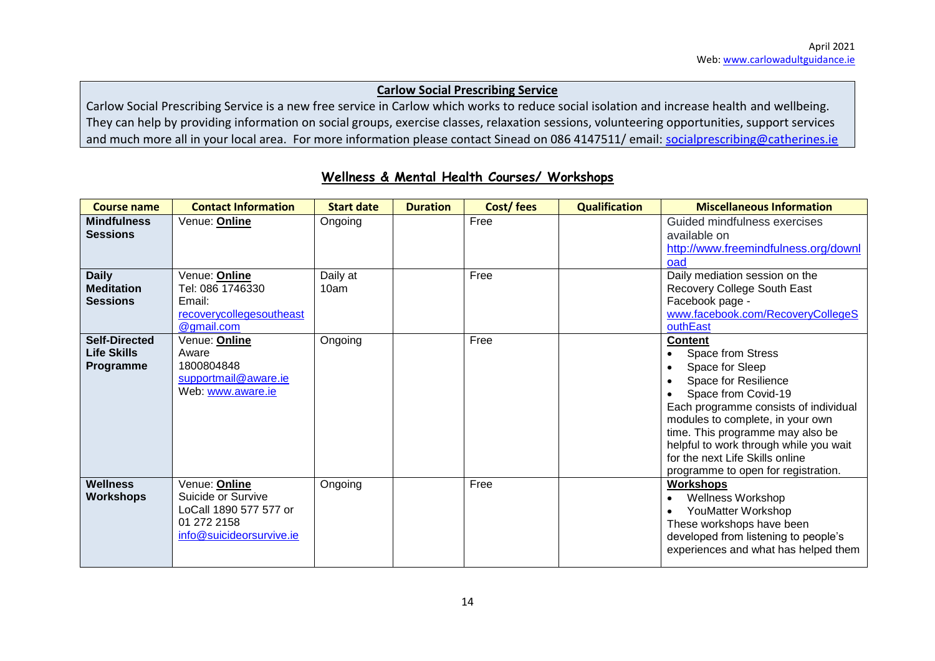#### **Carlow Social Prescribing Service**

Carlow Social Prescribing Service is a new free service in Carlow which works to reduce social isolation and increase health and wellbeing. They can help by providing information on social groups, exercise classes, relaxation sessions, volunteering opportunities, support services and much more all in your local area. For more information please contact Sinead on 086 4147511/ email: [socialprescribing@catherines.ie](mailto:socialprescribing@catherines.ie)

| <b>Course name</b>                                      | <b>Contact Information</b>                                                                               | <b>Start date</b> | <b>Duration</b> | Cost/fees | <b>Qualification</b> | <b>Miscellaneous Information</b>                                                                                                                                                                                                                                                                                                           |
|---------------------------------------------------------|----------------------------------------------------------------------------------------------------------|-------------------|-----------------|-----------|----------------------|--------------------------------------------------------------------------------------------------------------------------------------------------------------------------------------------------------------------------------------------------------------------------------------------------------------------------------------------|
| <b>Mindfulness</b><br><b>Sessions</b>                   | Venue: Online                                                                                            | Ongoing           |                 | Free      |                      | Guided mindfulness exercises<br>available on<br>http://www.freemindfulness.org/downl<br>oad                                                                                                                                                                                                                                                |
| <b>Daily</b><br><b>Meditation</b><br><b>Sessions</b>    | Venue: <b>Online</b><br>Tel: 086 1746330<br>Email:<br>recoverycollegesoutheast<br>@gmail.com             | Daily at<br>10am  |                 | Free      |                      | Daily mediation session on the<br>Recovery College South East<br>Facebook page -<br>www.facebook.com/RecoveryCollegeS<br>outhEast                                                                                                                                                                                                          |
| <b>Self-Directed</b><br><b>Life Skills</b><br>Programme | Venue: <b>Online</b><br>Aware<br>1800804848<br>supportmail@aware.ie<br>Web: www.aware.ie                 | Ongoing           |                 | Free      |                      | <b>Content</b><br>Space from Stress<br>Space for Sleep<br>Space for Resilience<br>Space from Covid-19<br>Each programme consists of individual<br>modules to complete, in your own<br>time. This programme may also be<br>helpful to work through while you wait<br>for the next Life Skills online<br>programme to open for registration. |
| <b>Wellness</b><br><b>Workshops</b>                     | Venue: Online<br>Suicide or Survive<br>LoCall 1890 577 577 or<br>01 272 2158<br>info@suicideorsurvive.ie | Ongoing           |                 | Free      |                      | <b>Workshops</b><br><b>Wellness Workshop</b><br>YouMatter Workshop<br>These workshops have been<br>developed from listening to people's<br>experiences and what has helped them                                                                                                                                                            |

## **Wellness & Mental Health Courses/ Workshops**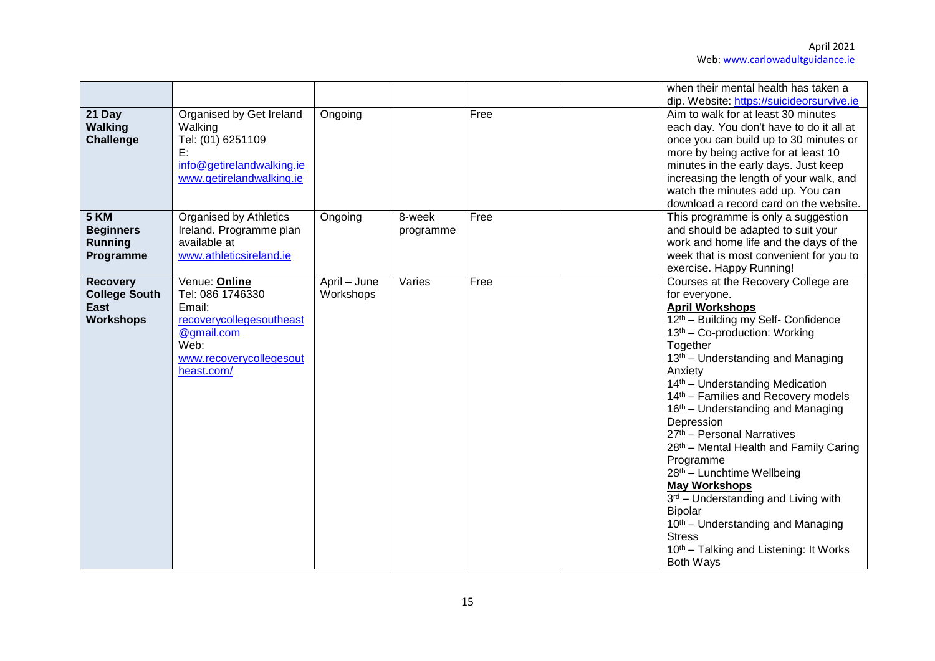|                                                                     |                                                                                                                                        |                           |                     |      | when their mental health has taken a                                                                                                                                                                                                                                                                                                                                                                                                                                                                                                                                                                                                                                                                                                              |
|---------------------------------------------------------------------|----------------------------------------------------------------------------------------------------------------------------------------|---------------------------|---------------------|------|---------------------------------------------------------------------------------------------------------------------------------------------------------------------------------------------------------------------------------------------------------------------------------------------------------------------------------------------------------------------------------------------------------------------------------------------------------------------------------------------------------------------------------------------------------------------------------------------------------------------------------------------------------------------------------------------------------------------------------------------------|
| 21 Day<br><b>Walking</b><br>Challenge                               | Organised by Get Ireland<br>Walking<br>Tel: (01) 6251109<br>E:<br>info@getirelandwalking.ie<br>www.getirelandwalking.ie                | Ongoing                   |                     | Free | dip. Website: https://suicideorsurvive.ie<br>Aim to walk for at least 30 minutes<br>each day. You don't have to do it all at<br>once you can build up to 30 minutes or<br>more by being active for at least 10<br>minutes in the early days. Just keep<br>increasing the length of your walk, and<br>watch the minutes add up. You can<br>download a record card on the website.                                                                                                                                                                                                                                                                                                                                                                  |
| <b>5 KM</b><br><b>Beginners</b><br><b>Running</b><br>Programme      | <b>Organised by Athletics</b><br>Ireland. Programme plan<br>available at<br>www.athleticsireland.ie                                    | Ongoing                   | 8-week<br>programme | Free | This programme is only a suggestion<br>and should be adapted to suit your<br>work and home life and the days of the<br>week that is most convenient for you to<br>exercise. Happy Running!                                                                                                                                                                                                                                                                                                                                                                                                                                                                                                                                                        |
| <b>Recovery</b><br><b>College South</b><br>East<br><b>Workshops</b> | Venue: Online<br>Tel: 086 1746330<br>Email:<br>recoverycollegesoutheast<br>@gmail.com<br>Web:<br>www.recoverycollegesout<br>heast.com/ | April - June<br>Workshops | Varies              | Free | Courses at the Recovery College are<br>for everyone.<br><b>April Workshops</b><br>12th - Building my Self- Confidence<br>13 <sup>th</sup> – Co-production: Working<br>Together<br>13 <sup>th</sup> – Understanding and Managing<br>Anxiety<br>14 <sup>th</sup> – Understanding Medication<br>14th - Families and Recovery models<br>16 <sup>th</sup> – Understanding and Managing<br>Depression<br>27th - Personal Narratives<br>28th - Mental Health and Family Caring<br>Programme<br>28th - Lunchtime Wellbeing<br><b>May Workshops</b><br>$3rd$ – Understanding and Living with<br><b>Bipolar</b><br>10 <sup>th</sup> – Understanding and Managing<br><b>Stress</b><br>10 <sup>th</sup> – Talking and Listening: It Works<br><b>Both Ways</b> |